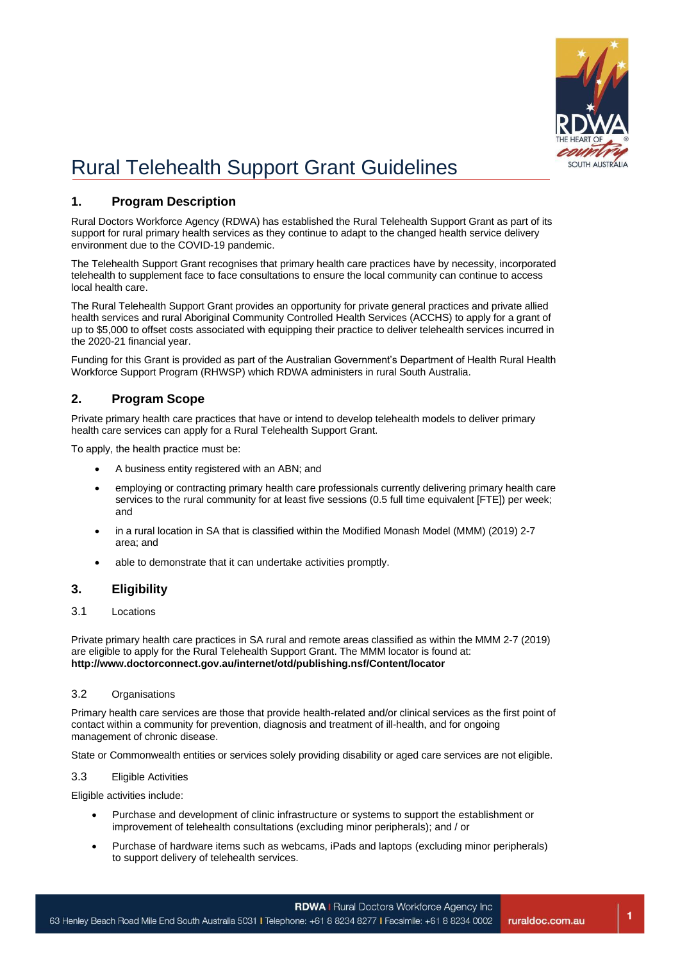

**1**

# Rural Telehealth Support Grant Guidelines

# **1. Program Description**

Rural Doctors Workforce Agency (RDWA) has established the Rural Telehealth Support Grant as part of its support for rural primary health services as they continue to adapt to the changed health service delivery environment due to the COVID-19 pandemic.

The Telehealth Support Grant recognises that primary health care practices have by necessity, incorporated telehealth to supplement face to face consultations to ensure the local community can continue to access local health care.

The Rural Telehealth Support Grant provides an opportunity for private general practices and private allied health services and rural Aboriginal Community Controlled Health Services (ACCHS) to apply for a grant of up to \$5,000 to offset costs associated with equipping their practice to deliver telehealth services incurred in the 2020-21 financial year.

Funding for this Grant is provided as part of the Australian Government's Department of Health Rural Health Workforce Support Program (RHWSP) which RDWA administers in rural South Australia.

# **2. Program Scope**

Private primary health care practices that have or intend to develop telehealth models to deliver primary health care services can apply for a Rural Telehealth Support Grant.

To apply, the health practice must be:

- A business entity registered with an ABN; and
- employing or contracting primary health care professionals currently delivering primary health care services to the rural community for at least five sessions (0.5 full time equivalent [FTE]) per week; and
- in a rural location in SA that is classified within the Modified Monash Model (MMM) (2019) 2-7 area; and
- able to demonstrate that it can undertake activities promptly.

# **3. Eligibility**

## 3.1 Locations

Private primary health care practices in SA rural and remote areas classified as within the MMM 2-7 (2019) are eligible to apply for the Rural Telehealth Support Grant. The MMM locator is found at: **http://www.doctorconnect.gov.au/internet/otd/publishing.nsf/Content/locator** 

## 3.2 Organisations

Primary health care services are those that provide health-related and/or clinical services as the first point of contact within a community for prevention, diagnosis and treatment of ill-health, and for ongoing management of chronic disease.

State or Commonwealth entities or services solely providing disability or aged care services are not eligible.

## 3.3 Eligible Activities

Eligible activities include:

- Purchase and development of clinic infrastructure or systems to support the establishment or improvement of telehealth consultations (excluding minor peripherals); and / or
- Purchase of hardware items such as webcams, iPads and laptops (excluding minor peripherals) to support delivery of telehealth services.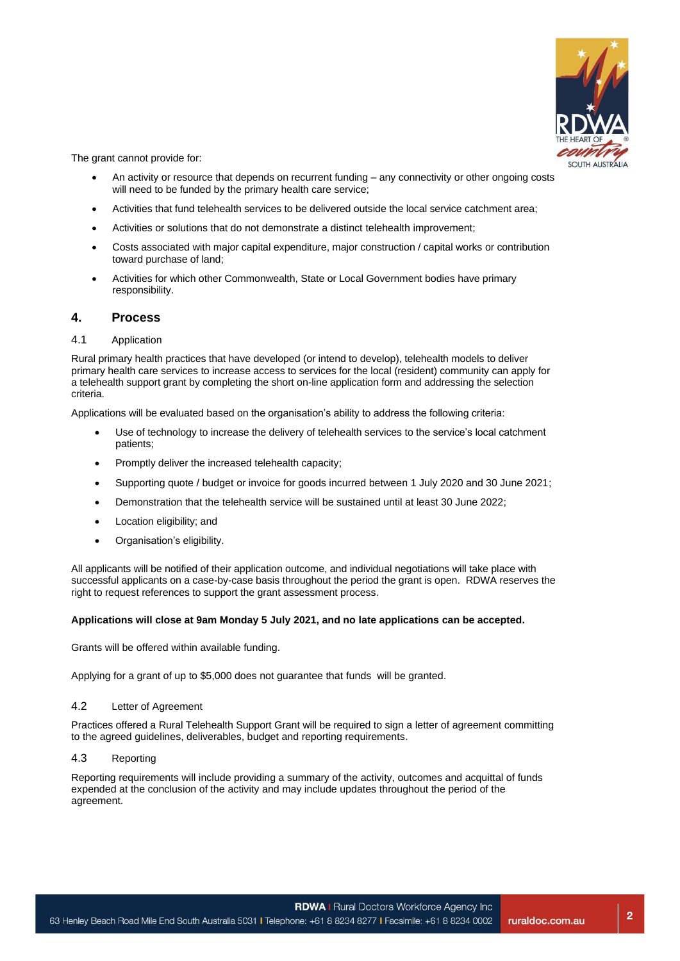

The grant cannot provide for:

- An activity or resource that depends on recurrent funding any connectivity or other ongoing costs will need to be funded by the primary health care service;
- Activities that fund telehealth services to be delivered outside the local service catchment area;
- Activities or solutions that do not demonstrate a distinct telehealth improvement;
- Costs associated with major capital expenditure, major construction / capital works or contribution toward purchase of land;
- Activities for which other Commonwealth, State or Local Government bodies have primary responsibility.

## **4. Process**

#### 4.1 Application

Rural primary health practices that have developed (or intend to develop), telehealth models to deliver primary health care services to increase access to services for the local (resident) community can apply for a telehealth support grant by completing the short on-line application form and addressing the selection criteria.

Applications will be evaluated based on the organisation's ability to address the following criteria:

- Use of technology to increase the delivery of telehealth services to the service's local catchment patients;
- Promptly deliver the increased telehealth capacity;
- Supporting quote / budget or invoice for goods incurred between 1 July 2020 and 30 June 2021;
- Demonstration that the telehealth service will be sustained until at least 30 June 2022;
- Location eligibility; and
- Organisation's eligibility.

All applicants will be notified of their application outcome, and individual negotiations will take place with successful applicants on a case-by-case basis throughout the period the grant is open. RDWA reserves the right to request references to support the grant assessment process.

#### **Applications will close at 9am Monday 5 July 2021, and no late applications can be accepted.**

Grants will be offered within available funding.

Applying for a grant of up to \$5,000 does not guarantee that funds will be granted.

#### 4.2 Letter of Agreement

Practices offered a Rural Telehealth Support Grant will be required to sign a letter of agreement committing to the agreed guidelines, deliverables, budget and reporting requirements.

#### 4.3 Reporting

Reporting requirements will include providing a summary of the activity, outcomes and acquittal of funds expended at the conclusion of the activity and may include updates throughout the period of the agreement.